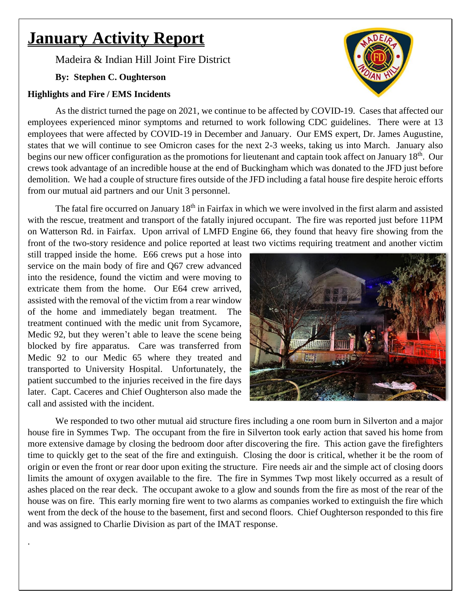# **January Activity Report**

Madeira & Indian Hill Joint Fire District

**By: Stephen C. Oughterson**

### **Highlights and Fire / EMS Incidents**

As the district turned the page on 2021, we continue to be affected by COVID-19. Cases that affected our employees experienced minor symptoms and returned to work following CDC guidelines. There were at 13 employees that were affected by COVID-19 in December and January. Our EMS expert, Dr. James Augustine, states that we will continue to see Omicron cases for the next 2-3 weeks, taking us into March. January also begins our new officer configuration as the promotions for lieutenant and captain took affect on January 18<sup>th</sup>. Our crews took advantage of an incredible house at the end of Buckingham which was donated to the JFD just before demolition. We had a couple of structure fires outside of the JFD including a fatal house fire despite heroic efforts from our mutual aid partners and our Unit 3 personnel.

The fatal fire occurred on January 18<sup>th</sup> in Fairfax in which we were involved in the first alarm and assisted with the rescue, treatment and transport of the fatally injured occupant. The fire was reported just before 11PM on Watterson Rd. in Fairfax. Upon arrival of LMFD Engine 66, they found that heavy fire showing from the front of the two-story residence and police reported at least two victims requiring treatment and another victim

still trapped inside the home. E66 crews put a hose into service on the main body of fire and Q67 crew advanced into the residence, found the victim and were moving to extricate them from the home. Our E64 crew arrived, assisted with the removal of the victim from a rear window of the home and immediately began treatment. The treatment continued with the medic unit from Sycamore, Medic 92, but they weren't able to leave the scene being blocked by fire apparatus. Care was transferred from Medic 92 to our Medic 65 where they treated and transported to University Hospital. Unfortunately, the patient succumbed to the injuries received in the fire days later. Capt. Caceres and Chief Oughterson also made the call and assisted with the incident.

.



We responded to two other mutual aid structure fires including a one room burn in Silverton and a major house fire in Symmes Twp. The occupant from the fire in Silverton took early action that saved his home from more extensive damage by closing the bedroom door after discovering the fire. This action gave the firefighters time to quickly get to the seat of the fire and extinguish. Closing the door is critical, whether it be the room of origin or even the front or rear door upon exiting the structure. Fire needs air and the simple act of closing doors limits the amount of oxygen available to the fire. The fire in Symmes Twp most likely occurred as a result of ashes placed on the rear deck. The occupant awoke to a glow and sounds from the fire as most of the rear of the house was on fire. This early morning fire went to two alarms as companies worked to extinguish the fire which went from the deck of the house to the basement, first and second floors. Chief Oughterson responded to this fire and was assigned to Charlie Division as part of the IMAT response.

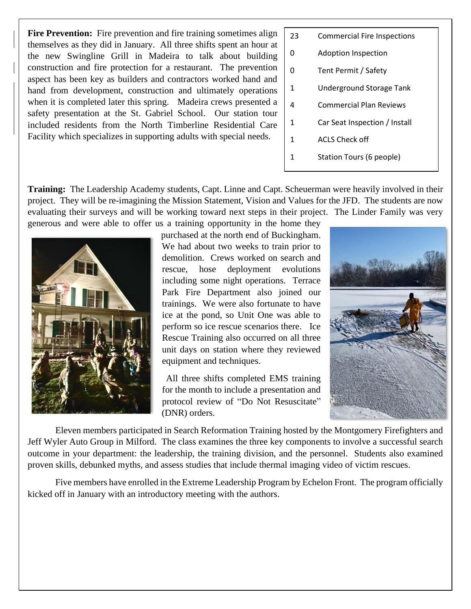**Fire Prevention:** Fire prevention and fire training sometimes align themselves as they did in January. All three shifts spent an hour at the new Swingline Grill in Madeira to talk about building construction and fire protection for a restaurant. The prevention aspect has been key as builders and contractors worked hand and hand from development, construction and ultimately operations when it is completed later this spring. Madeira crews presented a safety presentation at the St. Gabriel School. Our station tour included residents from the North Timberline Residential Care Facility which specializes in supporting adults with special needs.

- 23 Commercial Fire Inspections
- 0 Adoption Inspection
- 0 Tent Permit / Safety
- 1 Underground Storage Tank
- 4 Commercial Plan Reviews
- 1 Car Seat Inspection / Install
- 1 ACLS Check off
- 1 Station Tours (6 people)

**Training:** The Leadership Academy students, Capt. Linne and Capt. Scheuerman were heavily involved in their project. They will be re-imagining the Mission Statement, Vision and Values for the JFD. The students are now evaluating their surveys and will be working toward next steps in their project. The Linder Family was very generous and were able to offer us a training opportunity in the home they



purchased at the north end of Buckingham. We had about two weeks to train prior to demolition. Crews worked on search and rescue, hose deployment evolutions including some night operations. Terrace Park Fire Department also joined our trainings. We were also fortunate to have ice at the pond, so Unit One was able to perform so ice rescue scenarios there. Ice Rescue Training also occurred on all three unit days on station where they reviewed equipment and techniques.

All three shifts completed EMS training for the month to include a presentation and protocol review of "Do Not Resuscitate" (DNR) orders.



Eleven members participated in Search Reformation Training hosted by the Montgomery Firefighters and Jeff Wyler Auto Group in Milford. The class examines the three key components to involve a successful search outcome in your department: the leadership, the training division, and the personnel. Students also examined proven skills, debunked myths, and assess studies that include thermal imaging video of victim rescues.

Five members have enrolled in the Extreme Leadership Program by Echelon Front. The program officially kicked off in January with an introductory meeting with the authors.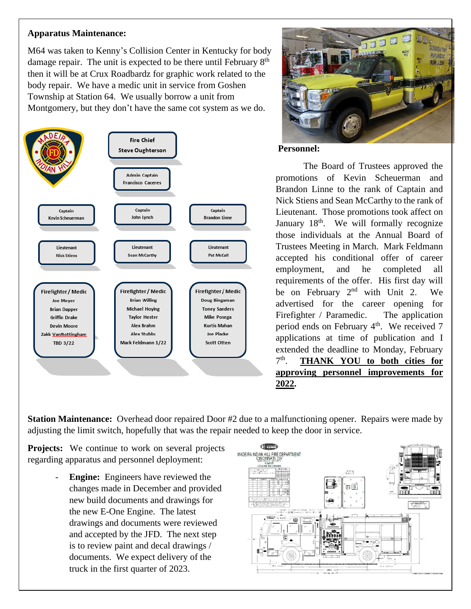#### **Apparatus Maintenance:**

M64 was taken to Kenny's Collision Center in Kentucky for body damage repair. The unit is expected to be there until February  $8<sup>th</sup>$ then it will be at Crux Roadbardz for graphic work related to the body repair. We have a medic unit in service from Goshen Township at Station 64. We usually borrow a unit from Montgomery, but they don't have the same cot system as we do.





#### **Personnel:**

The Board of Trustees approved the promotions of Kevin Scheuerman and Brandon Linne to the rank of Captain and Nick Stiens and Sean McCarthy to the rank of Lieutenant. Those promotions took affect on January 18<sup>th</sup>. We will formally recognize those individuals at the Annual Board of Trustees Meeting in March. Mark Feldmann accepted his conditional offer of career employment, and he completed all requirements of the offer. His first day will be on February  $2<sup>nd</sup>$  with Unit 2. We advertised for the career opening for Firefighter / Paramedic. The application period ends on February  $4<sup>th</sup>$ . We received 7 applications at time of publication and I extended the deadline to Monday, February  $7<sup>th</sup>$ . **THANK YOU to both cities for approving personnel improvements for 2022.**

**Station Maintenance:** Overhead door repaired Door #2 due to a malfunctioning opener. Repairs were made by adjusting the limit switch, hopefully that was the repair needed to keep the door in service.

**Projects:** We continue to work on several projects regarding apparatus and personnel deployment:

> **Engine:** Engineers have reviewed the changes made in December and provided new build documents and drawings for the new E-One Engine. The latest drawings and documents were reviewed and accepted by the JFD. The next step is to review paint and decal drawings / documents. We expect delivery of the truck in the first quarter of 2023.

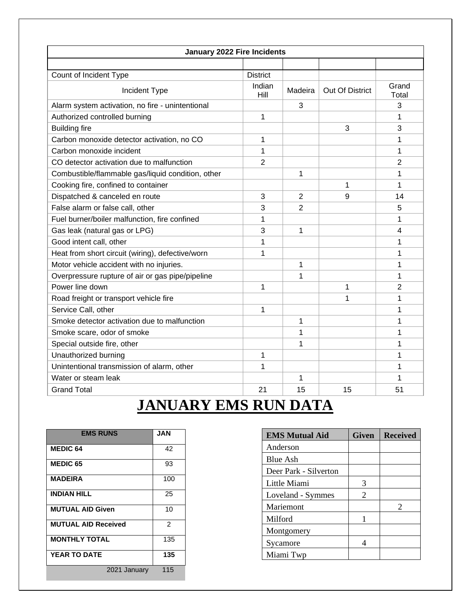| January 2022 Fire Incidents                       |                 |         |                 |                |  |
|---------------------------------------------------|-----------------|---------|-----------------|----------------|--|
|                                                   |                 |         |                 |                |  |
| Count of Incident Type                            | <b>District</b> |         |                 |                |  |
| Incident Type                                     | Indian<br>Hill  | Madeira | Out Of District | Grand<br>Total |  |
| Alarm system activation, no fire - unintentional  |                 | 3       |                 | 3              |  |
| Authorized controlled burning                     | 1               |         |                 | 1              |  |
| <b>Building fire</b>                              |                 |         | 3               | 3              |  |
| Carbon monoxide detector activation, no CO        | 1               |         |                 | 1              |  |
| Carbon monoxide incident                          | 1               |         |                 | 1              |  |
| CO detector activation due to malfunction         | $\overline{2}$  |         |                 | 2              |  |
| Combustible/flammable gas/liquid condition, other |                 | 1       |                 | 1              |  |
| Cooking fire, confined to container               |                 |         | 1               | 1              |  |
| Dispatched & canceled en route                    | 3               | 2       | 9               | 14             |  |
| False alarm or false call, other                  | 3               | 2       |                 | 5              |  |
| Fuel burner/boiler malfunction, fire confined     | 1               |         |                 | 1              |  |
| Gas leak (natural gas or LPG)                     | 3               | 1       |                 | 4              |  |
| Good intent call, other                           | 1               |         |                 | 1              |  |
| Heat from short circuit (wiring), defective/worn  | 1               |         |                 | 1              |  |
| Motor vehicle accident with no injuries.          |                 | 1       |                 | 1              |  |
| Overpressure rupture of air or gas pipe/pipeline  |                 | 1       |                 | 1              |  |
| Power line down                                   | 1               |         | 1               | 2              |  |
| Road freight or transport vehicle fire            |                 |         | 1               | 1              |  |
| Service Call, other                               | 1               |         |                 | 1              |  |
| Smoke detector activation due to malfunction      |                 | 1       |                 | 1              |  |
| Smoke scare, odor of smoke                        |                 | 1       |                 | 1              |  |
| Special outside fire, other                       |                 | 1       |                 | 1              |  |
| Unauthorized burning                              | 1               |         |                 | 1              |  |
| Unintentional transmission of alarm, other        | 1               |         |                 | 1              |  |
| Water or steam leak                               |                 | 1       |                 | 1              |  |
| <b>Grand Total</b>                                | 21              | 15      | 15              | 51             |  |

## **JANUARY EMS RUN DATA**

| <b>EMS RUNS</b>            | <b>JAN</b> |  |  |
|----------------------------|------------|--|--|
| <b>MEDIC 64</b>            | 42         |  |  |
| <b>MEDIC 65</b>            | 93         |  |  |
| <b>MADEIRA</b>             | 100        |  |  |
| <b>INDIAN HILL</b>         | 25         |  |  |
| <b>MUTUAL AID Given</b>    | 10         |  |  |
| <b>MUTUAL AID Received</b> | 2          |  |  |
| <b>MONTHLY TOTAL</b>       | 135        |  |  |
| <b>YEAR TO DATE</b>        | 135        |  |  |
| 2021 January               | 115        |  |  |

| <b>EMS Mutual Aid</b> | <b>Given</b> | <b>Received</b>       |
|-----------------------|--------------|-----------------------|
| Anderson              |              |                       |
| Blue Ash              |              |                       |
| Deer Park - Silverton |              |                       |
| Little Miami          | 3            |                       |
| Loveland - Symmes     | 2            |                       |
| Mariemont             |              | $\mathcal{D}_{\cdot}$ |
| Milford               |              |                       |
| Montgomery            |              |                       |
| Sycamore              |              |                       |
| Miami Twp             |              |                       |